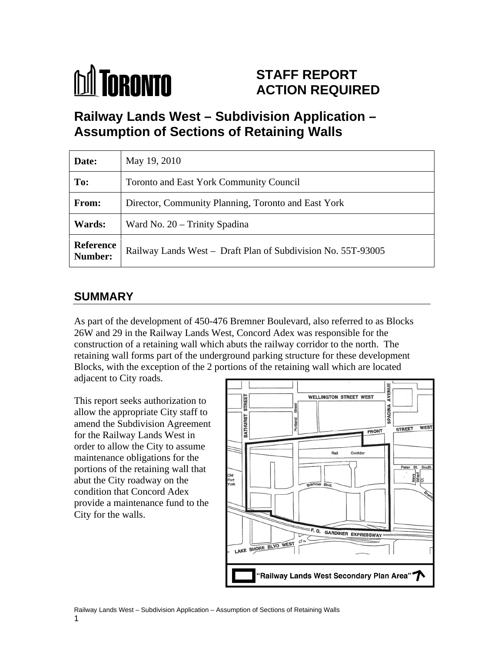

# **STAFF REPORT ACTION REQUIRED**

**Railway Lands West – Subdivision Application – Assumption of Sections of Retaining Walls**

| Date:         | May 19, 2010                                                           |
|---------------|------------------------------------------------------------------------|
| To:           | Toronto and East York Community Council                                |
| From:         | Director, Community Planning, Toronto and East York                    |
| <b>Wards:</b> | Ward No. 20 – Trinity Spadina                                          |
|               | Reference Railway Lands West – Draft Plan of Subdivision No. 55T-93005 |

### **SUMMARY**

As part of the development of 450-476 Bremner Boulevard, also referred to as Blocks 26W and 29 in the Railway Lands West, Concord Adex was responsible for the construction of a retaining wall which abuts the railway corridor to the north. The retaining wall forms part of the underground parking structure for these development Blocks, with the exception of the 2 portions of the retaining wall which are located

adjacent to City roads.

allow the appropriate City staff to<br>amend the Subdivision Agreement<br>for the Railway Lands West in for the Railway Lands West in maintenance obligations for the portions of the retaining wall that  $\sum_{\text{old}\atop\text{fork}}$ abut the City roadway on the condition that Concord Adex provide a maintenance fund to the City for the walls.

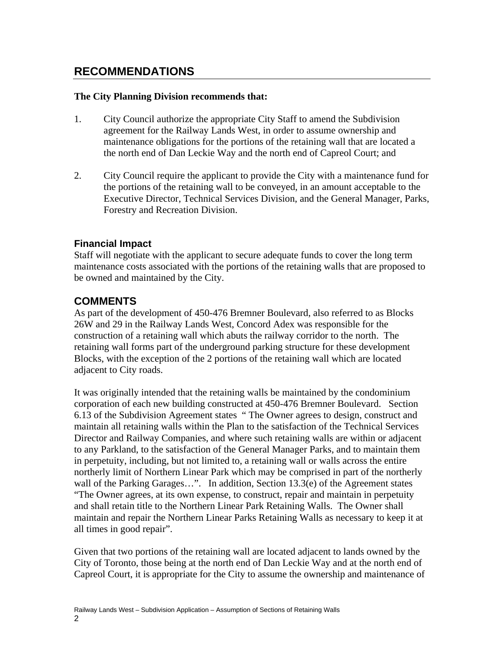## **RECOMMENDATIONS**

#### **The City Planning Division recommends that:**

- 1. City Council authorize the appropriate City Staff to amend the Subdivision agreement for the Railway Lands West, in order to assume ownership and maintenance obligations for the portions of the retaining wall that are located a the north end of Dan Leckie Way and the north end of Capreol Court; and
- 2. City Council require the applicant to provide the City with a maintenance fund for the portions of the retaining wall to be conveyed, in an amount acceptable to the Executive Director, Technical Services Division, and the General Manager, Parks, Forestry and Recreation Division.

#### **Financial Impact**

Staff will negotiate with the applicant to secure adequate funds to cover the long term maintenance costs associated with the portions of the retaining walls that are proposed to be owned and maintained by the City.

### **COMMENTS**

As part of the development of 450-476 Bremner Boulevard, also referred to as Blocks 26W and 29 in the Railway Lands West, Concord Adex was responsible for the construction of a retaining wall which abuts the railway corridor to the north. The retaining wall forms part of the underground parking structure for these development Blocks, with the exception of the 2 portions of the retaining wall which are located adjacent to City roads.

It was originally intended that the retaining walls be maintained by the condominium corporation of each new building constructed at 450-476 Bremner Boulevard. Section 6.13 of the Subdivision Agreement states " The Owner agrees to design, construct and maintain all retaining walls within the Plan to the satisfaction of the Technical Services Director and Railway Companies, and where such retaining walls are within or adjacent to any Parkland, to the satisfaction of the General Manager Parks, and to maintain them in perpetuity, including, but not limited to, a retaining wall or walls across the entire northerly limit of Northern Linear Park which may be comprised in part of the northerly wall of the Parking Garages...". In addition, Section 13.3(e) of the Agreement states "The Owner agrees, at its own expense, to construct, repair and maintain in perpetuity and shall retain title to the Northern Linear Park Retaining Walls. The Owner shall maintain and repair the Northern Linear Parks Retaining Walls as necessary to keep it at all times in good repair".

Given that two portions of the retaining wall are located adjacent to lands owned by the City of Toronto, those being at the north end of Dan Leckie Way and at the north end of Capreol Court, it is appropriate for the City to assume the ownership and maintenance of